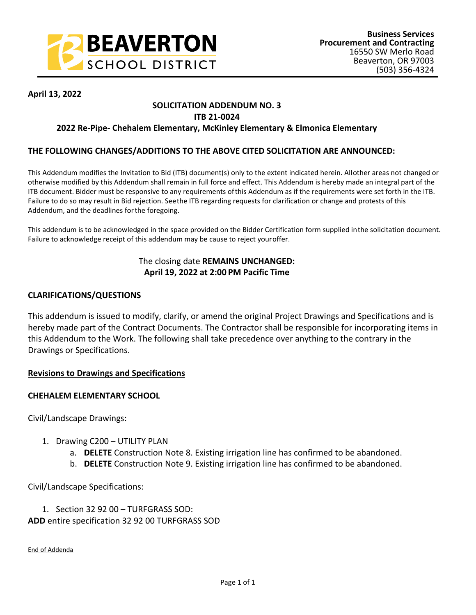

# **April 13, 2022**

# **SOLICITATION ADDENDUM NO. 3**

# **ITB 21-0024**

# **2022 Re-Pipe- Chehalem Elementary, McKinley Elementary & Elmonica Elementary**

# **THE FOLLOWING CHANGES/ADDITIONS TO THE ABOVE CITED SOLICITATION ARE ANNOUNCED:**

This Addendum modifies the Invitation to Bid (ITB) document(s) only to the extent indicated herein. All other areas not changed or otherwise modified by this Addendum shall remain in full force and effect. This Addendum is hereby made an integral part of the ITB document. Bidder must be responsive to any requirements of this Addendum as if the requirements were set forth in the ITB. Failure to do so may result in Bid rejection. See the ITB regarding requests for clarification or change and protests of this Addendum, and the deadlines for the foregoing.

This addendum is to be acknowledged in the space provided on the Bidder Certification form supplied in the solicitation document. Failure to acknowledge receipt of this addendum may be cause to reject your offer.

# The closing date **REMAINS UNCHANGED: April 19, 2022 at 2:00 PM Pacific Time**

# **CLARIFICATIONS/QUESTIONS**

This addendum is issued to modify, clarify, or amend the original Project Drawings and Specifications and is hereby made part of the Contract Documents. The Contractor shall be responsible for incorporating items in this Addendum to the Work. The following shall take precedence over anything to the contrary in the Drawings or Specifications.

# **Revisions to Drawings and Specifications**

# **CHEHALEM ELEMENTARY SCHOOL**

# Civil/Landscape Drawings:

- 1. Drawing C200 UTILITY PLAN
	- a. **DELETE** Construction Note 8. Existing irrigation line has confirmed to be abandoned.
	- b. **DELETE** Construction Note 9. Existing irrigation line has confirmed to be abandoned.

# Civil/Landscape Specifications:

1. Section 32 92 00 – TURFGRASS SOD: **ADD** entire specification 32 92 00 TURFGRASS SOD

End of Addenda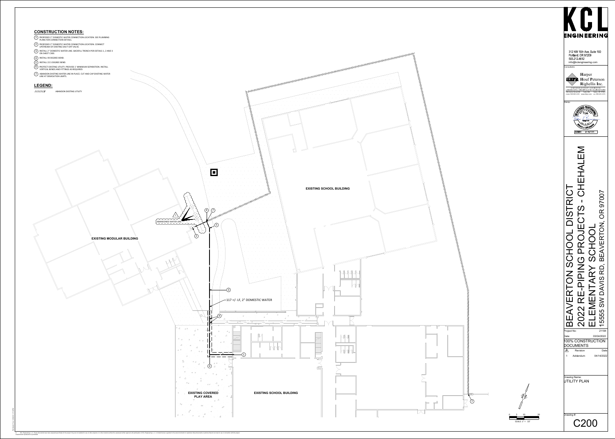# **CONSTRUCTION NOTES:**

- PROPOSED 2" DOMESTIC WATER <mark>C</mark><br>PLANS FOR CONNECTION DETAILS. **2 PROPOSED 2" DOMESTIC WATER CONNECTION LOCATION. SEE PLUM<br>
PLANS FOR CONNECTION DETAILS.<br>
2 PROPOSED 2" DOMESTIC WATER CONNECTION LOCATION. CONNECT**
- .<br>PROPOSED 2" DOMESTIC WATER CONNEC<br>UPSTREAM OF EXISTING SHUT-OFF VALVE.
- 2 PROPOSED 2" DOMESTIC WATER CONNECTION LOCATION. CONNECT<br>UPSTREAM OF EXISTING SHUT-OFF VALVE.<br>3 INSTALL 2" DOMESTIC WATER LINE. BACKFILL TRENCH PER DETAILS 1, 2 AND 3 INSTALL 2" DO<mark>N</mark><br>ON SHEET C300.
- 4 INSTALL 2" DOMESTIC WA<br>4 INSTALL 90 DEGREE BEND. SPORTSHEET C300.<br>4 INSTALL 90 DEGREE BEND.<br>5 INSTALL 22.5 DEGREE BEND.
- 
- 4 INSTALL 90 DEGREE BEND.<br>5 INSTALL 22.5 DEGREE BEND.<br>6 PROTECT EXISTING UTILITY. PROVIDE 1' MINIMUM SEPARATION. INSTALL
- .<br>PROTECT EXISTING UTILITY. PROVIDE 1' MININ<br>VERTICAL BENDS AND FITTINGS AS REQUIRED. FOR PROTECT EXISTING UTILITY. PROVIDE 1' MINIMUM SEPARATION. INSTALL<br>VERTICAL BENDS AND FITTINGS AS REQUIRED.<br>7 ABANDON EXISTING WATER LINE IN PLACE. CUT AND CAP EXISTING WATER
- THE AT DEMOLITION LIMITS.<br>LINE AT DEMOLITION LIMITS.



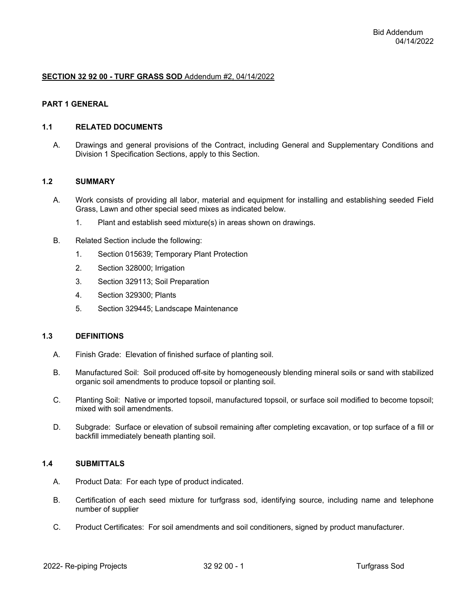#### **SECTION 32 92 00 - TURF GRASS SOD** Addendum #2, 04/14/2022

#### **PART 1 GENERAL**

#### **1.1 RELATED DOCUMENTS**

A. Drawings and general provisions of the Contract, including General and Supplementary Conditions and Division 1 Specification Sections, apply to this Section.

#### **1.2 SUMMARY**

- A. Work consists of providing all labor, material and equipment for installing and establishing seeded Field Grass, Lawn and other special seed mixes as indicated below.
	- 1. Plant and establish seed mixture(s) in areas shown on drawings.
- B. Related Section include the following:
	- 1. Section 015639; Temporary Plant Protection
	- 2. Section 328000; Irrigation
	- 3. Section 329113; Soil Preparation
	- 4. Section 329300; Plants
	- 5. Section 329445; Landscape Maintenance

#### **1.3 DEFINITIONS**

- A. Finish Grade: Elevation of finished surface of planting soil.
- B. Manufactured Soil: Soil produced off-site by homogeneously blending mineral soils or sand with stabilized organic soil amendments to produce topsoil or planting soil.
- C. Planting Soil: Native or imported topsoil, manufactured topsoil, or surface soil modified to become topsoil; mixed with soil amendments.
- D. Subgrade: Surface or elevation of subsoil remaining after completing excavation, or top surface of a fill or backfill immediately beneath planting soil.

#### **1.4 SUBMITTALS**

- A. Product Data: For each type of product indicated.
- B. Certification of each seed mixture for turfgrass sod, identifying source, including name and telephone number of supplier
- C. Product Certificates: For soil amendments and soil conditioners, signed by product manufacturer.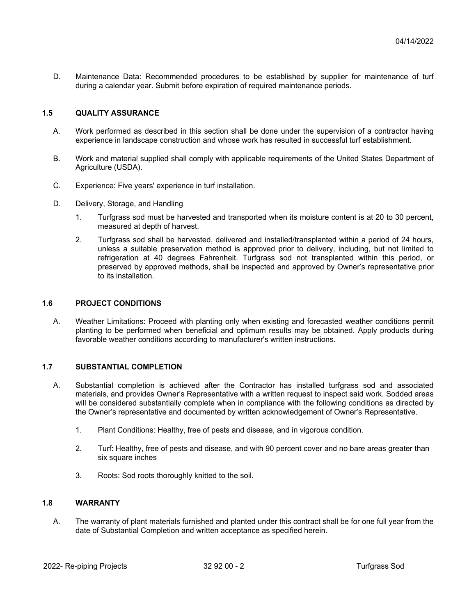D. Maintenance Data: Recommended procedures to be established by supplier for maintenance of turf during a calendar year. Submit before expiration of required maintenance periods.

# **1.5 QUALITY ASSURANCE**

- A. Work performed as described in this section shall be done under the supervision of a contractor having experience in landscape construction and whose work has resulted in successful turf establishment.
- B. Work and material supplied shall comply with applicable requirements of the United States Department of Agriculture (USDA).
- C. Experience: Five years' experience in turf installation.
- D. Delivery, Storage, and Handling
	- 1. Turfgrass sod must be harvested and transported when its moisture content is at 20 to 30 percent, measured at depth of harvest.
	- 2. Turfgrass sod shall be harvested, delivered and installed/transplanted within a period of 24 hours, unless a suitable preservation method is approved prior to delivery, including, but not limited to refrigeration at 40 degrees Fahrenheit. Turfgrass sod not transplanted within this period, or preserved by approved methods, shall be inspected and approved by Owner's representative prior to its installation.

### **1.6 PROJECT CONDITIONS**

A. Weather Limitations: Proceed with planting only when existing and forecasted weather conditions permit planting to be performed when beneficial and optimum results may be obtained. Apply products during favorable weather conditions according to manufacturer's written instructions.

#### **1.7 SUBSTANTIAL COMPLETION**

- A. Substantial completion is achieved after the Contractor has installed turfgrass sod and associated materials, and provides Owner's Representative with a written request to inspect said work. Sodded areas will be considered substantially complete when in compliance with the following conditions as directed by the Owner's representative and documented by written acknowledgement of Owner's Representative.
	- 1. Plant Conditions: Healthy, free of pests and disease, and in vigorous condition.
	- 2. Turf: Healthy, free of pests and disease, and with 90 percent cover and no bare areas greater than six square inches
	- 3. Roots: Sod roots thoroughly knitted to the soil.

#### **1.8 WARRANTY**

A. The warranty of plant materials furnished and planted under this contract shall be for one full year from the date of Substantial Completion and written acceptance as specified herein.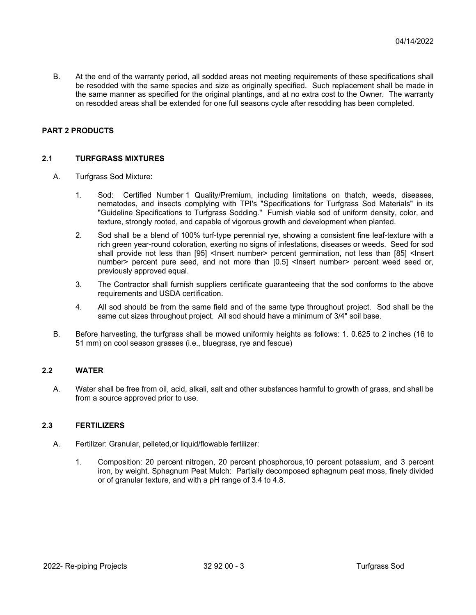B. At the end of the warranty period, all sodded areas not meeting requirements of these specifications shall be resodded with the same species and size as originally specified. Such replacement shall be made in the same manner as specified for the original plantings, and at no extra cost to the Owner. The warranty on resodded areas shall be extended for one full seasons cycle after resodding has been completed.

# **PART 2 PRODUCTS**

#### **2.1 TURFGRASS MIXTURES**

- A. Turfgrass Sod Mixture:
	- 1. Sod: Certified Number 1 Quality/Premium, including limitations on thatch, weeds, diseases, nematodes, and insects complying with TPI's "Specifications for Turfgrass Sod Materials" in its "Guideline Specifications to Turfgrass Sodding." Furnish viable sod of uniform density, color, and texture, strongly rooted, and capable of vigorous growth and development when planted.
	- 2. Sod shall be a blend of 100% turf-type perennial rye, showing a consistent fine leaf-texture with a rich green year-round coloration, exerting no signs of infestations, diseases or weeds. Seed for sod shall provide not less than [95] <Insert number> percent germination, not less than [85] <Insert number> percent pure seed, and not more than [0.5] <lnsert number> percent weed seed or, previously approved equal.
	- 3. The Contractor shall furnish suppliers certificate guaranteeing that the sod conforms to the above requirements and USDA certification.
	- 4. All sod should be from the same field and of the same type throughout project. Sod shall be the same cut sizes throughout project. All sod should have a minimum of 3/4" soil base.
- B. Before harvesting, the turfgrass shall be mowed uniformly heights as follows: 1. 0.625 to 2 inches (16 to 51 mm) on cool season grasses (i.e., bluegrass, rye and fescue)

#### **2.2 WATER**

A. Water shall be free from oil, acid, alkali, salt and other substances harmful to growth of grass, and shall be from a source approved prior to use.

# **2.3 FERTILIZERS**

- A. Fertilizer: Granular, pelleted,or liquid/flowable fertilizer:
	- 1. Composition: 20 percent nitrogen, 20 percent phosphorous,10 percent potassium, and 3 percent iron, by weight. Sphagnum Peat Mulch: Partially decomposed sphagnum peat moss, finely divided or of granular texture, and with a pH range of 3.4 to 4.8.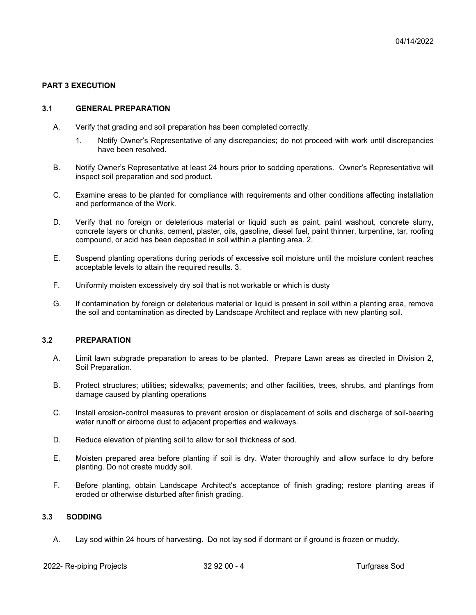# **PART 3 EXECUTION**

#### **3.1 GENERAL PREPARATION**

- A. Verify that grading and soil preparation has been completed correctly.
	- 1. Notify Owner's Representative of any discrepancies; do not proceed with work until discrepancies have been resolved.
- B. Notify Owner's Representative at least 24 hours prior to sodding operations. Owner's Representative will inspect soil preparation and sod product.
- C. Examine areas to be planted for compliance with requirements and other conditions affecting installation and performance of the Work.
- D. Verify that no foreign or deleterious material or liquid such as paint, paint washout, concrete slurry, concrete layers or chunks, cement, plaster, oils, gasoline, diesel fuel, paint thinner, turpentine, tar, roofing compound, or acid has been deposited in soil within a planting area. 2.
- E. Suspend planting operations during periods of excessive soil moisture until the moisture content reaches acceptable levels to attain the required results. 3.
- F. Uniformly moisten excessively dry soil that is not workable or which is dusty
- G. If contamination by foreign or deleterious material or liquid is present in soil within a planting area, remove the soil and contamination as directed by Landscape Architect and replace with new planting soil.

#### **3.2 PREPARATION**

- A. Limit lawn subgrade preparation to areas to be planted. Prepare Lawn areas as directed in Division 2, Soil Preparation.
- B. Protect structures; utilities; sidewalks; pavements; and other facilities, trees, shrubs, and plantings from damage caused by planting operations
- C. Install erosion-control measures to prevent erosion or displacement of soils and discharge of soil-bearing water runoff or airborne dust to adjacent properties and walkways.
- D. Reduce elevation of planting soil to allow for soil thickness of sod.
- E. Moisten prepared area before planting if soil is dry. Water thoroughly and allow surface to dry before planting. Do not create muddy soil.
- F. Before planting, obtain Landscape Architect's acceptance of finish grading; restore planting areas if eroded or otherwise disturbed after finish grading.

# **3.3 SODDING**

A. Lay sod within 24 hours of harvesting. Do not lay sod if dormant or if ground is frozen or muddy.

2022- Re-piping Projects 22 92 00 - 4 Turfgrass Sod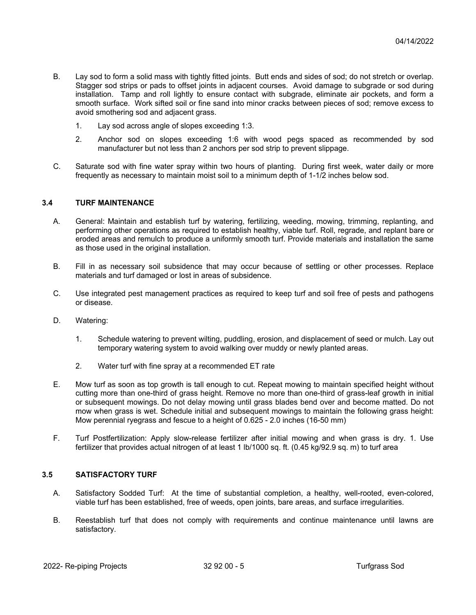- B. Lay sod to form a solid mass with tightly fitted joints. Butt ends and sides of sod; do not stretch or overlap. Stagger sod strips or pads to offset joints in adjacent courses. Avoid damage to subgrade or sod during installation. Tamp and roll lightly to ensure contact with subgrade, eliminate air pockets, and form a smooth surface. Work sifted soil or fine sand into minor cracks between pieces of sod; remove excess to avoid smothering sod and adjacent grass.
	- 1. Lay sod across angle of slopes exceeding 1:3.
	- 2. Anchor sod on slopes exceeding 1:6 with wood pegs spaced as recommended by sod manufacturer but not less than 2 anchors per sod strip to prevent slippage.
- C. Saturate sod with fine water spray within two hours of planting. During first week, water daily or more frequently as necessary to maintain moist soil to a minimum depth of 1-1/2 inches below sod.

# **3.4 TURF MAINTENANCE**

- A. General: Maintain and establish turf by watering, fertilizing, weeding, mowing, trimming, replanting, and performing other operations as required to establish healthy, viable turf. Roll, regrade, and replant bare or eroded areas and remulch to produce a uniformly smooth turf. Provide materials and installation the same as those used in the original installation.
- B. Fill in as necessary soil subsidence that may occur because of settling or other processes. Replace materials and turf damaged or lost in areas of subsidence.
- C. Use integrated pest management practices as required to keep turf and soil free of pests and pathogens or disease.
- D. Watering:
	- 1. Schedule watering to prevent wilting, puddling, erosion, and displacement of seed or mulch. Lay out temporary watering system to avoid walking over muddy or newly planted areas.
	- 2. Water turf with fine spray at a recommended ET rate
- E. Mow turf as soon as top growth is tall enough to cut. Repeat mowing to maintain specified height without cutting more than one-third of grass height. Remove no more than one-third of grass-leaf growth in initial or subsequent mowings. Do not delay mowing until grass blades bend over and become matted. Do not mow when grass is wet. Schedule initial and subsequent mowings to maintain the following grass height: Mow perennial ryegrass and fescue to a height of 0.625 - 2.0 inches (16-50 mm)
- F. Turf Postfertilization: Apply slow-release fertilizer after initial mowing and when grass is dry. 1. Use fertilizer that provides actual nitrogen of at least 1 lb/1000 sq. ft. (0.45 kg/92.9 sq. m) to turf area

#### **3.5 SATISFACTORY TURF**

- A. Satisfactory Sodded Turf: At the time of substantial completion, a healthy, well-rooted, even-colored, viable turf has been established, free of weeds, open joints, bare areas, and surface irregularities.
- B. Reestablish turf that does not comply with requirements and continue maintenance until lawns are satisfactory.